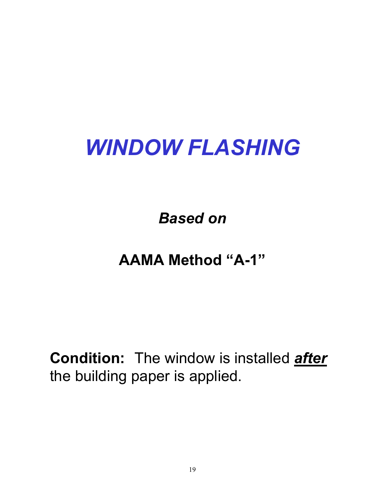# *WINDOW FLASHING*

*Based on*

## **AAMA Method "A-1"**

**Condition:** The window is installed *after*  the building paper is applied.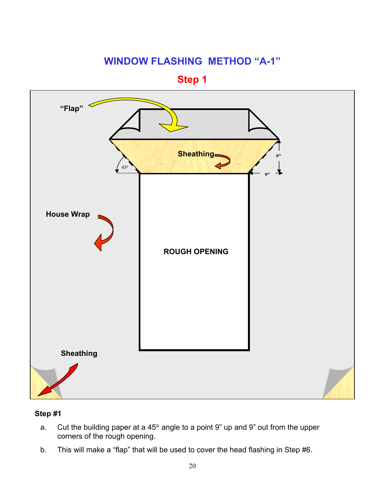**Step 1**



- a. Cut the building paper at a  $45^{\circ}$  angle to a point 9" up and 9" out from the upper corners of the rough opening.
- b. This will make a "flap" that will be used to cover the head flashing in Step #6.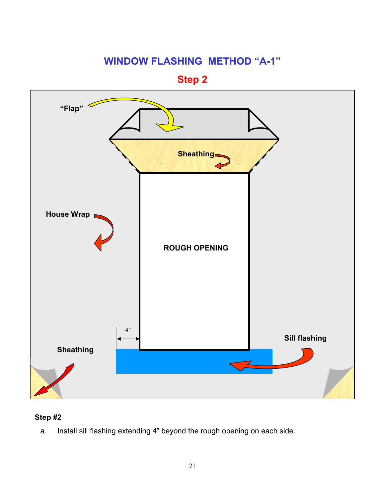**Step 2**



#### **Step #2**

a. Install sill flashing extending 4" beyond the rough opening on each side.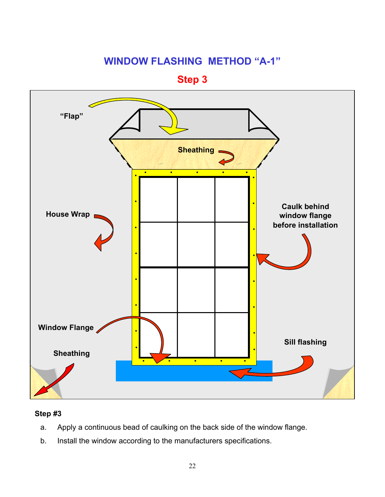**Step 3**



- a. Apply a continuous bead of caulking on the back side of the window flange.
- b. Install the window according to the manufacturers specifications.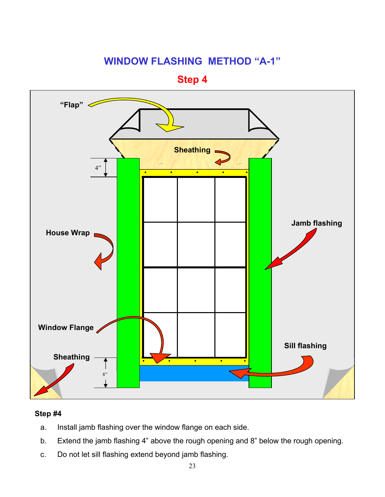**Step 4**



- a. Install jamb flashing over the window flange on each side.
- b. Extend the jamb flashing 4" above the rough opening and 8" below the rough opening.
- c. Do not let sill flashing extend beyond jamb flashing.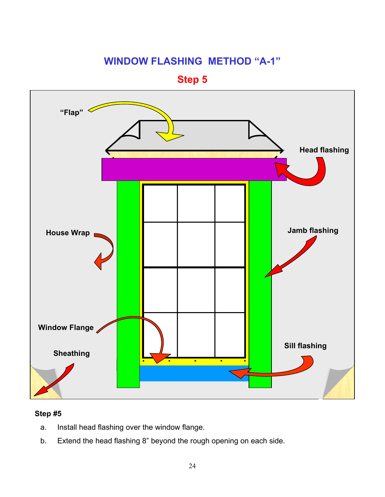**Step 5**



- a. Install head flashing over the window flange.
- b. Extend the head flashing 8" beyond the rough opening on each side.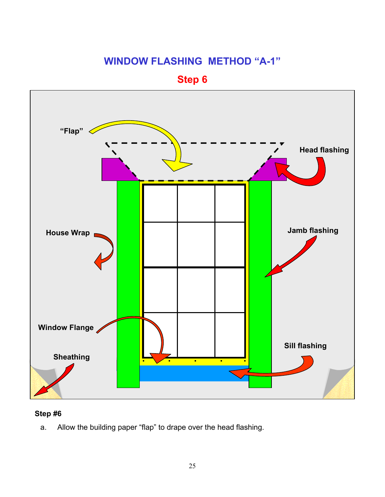**Step 6**



#### **Step #6**

a. Allow the building paper "flap" to drape over the head flashing.